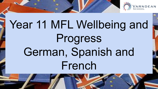

# Year 11 MFL Wellbeing and Progress German, Spanish and French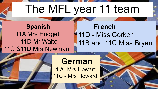## The MFL year 11 team

**Spanish** 11A Mrs Huggett 11D Mr Waite 11C &11D Mrs Newman

### **French 11D - Miss Corken** 11B and 11C Miss Bryant

### **German**

11 A- Mrs Howard 11C - Mrs Howard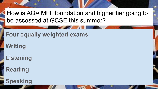How is AQA MFL foundation and higher tier going to be assessed at GCSE this summer?

#### **Four equally weighted exams**

**Writing**

**Listening**

**Reading**

**Speaking**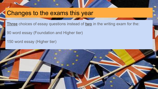#### Changes to the exams this year

**Three** choices of essay questions instead of **two** in the writing exam for the:

90 word essay (Foundation and Higher tier)

150 word essay (Higher tier)

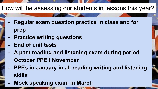#### How will be assessing our students in lessons this year?

- **- Regular exam question practice in class and for prep**
- **- Practice writing questions**
- **- End of unit tests**
- **- A past reading and listening exam during period October PPE1 November**
- **- PPEs in January in all reading writing and listening skills**
- **- Mock speaking exam in March**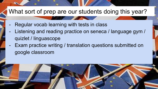#### What sort of prep are our students doing this year?

- Regular vocab learning with tests in class
- Listening and reading practice on seneca / language gym / quizlet / linguascope
- Exam practice writing / translation questions submitted on google classroom